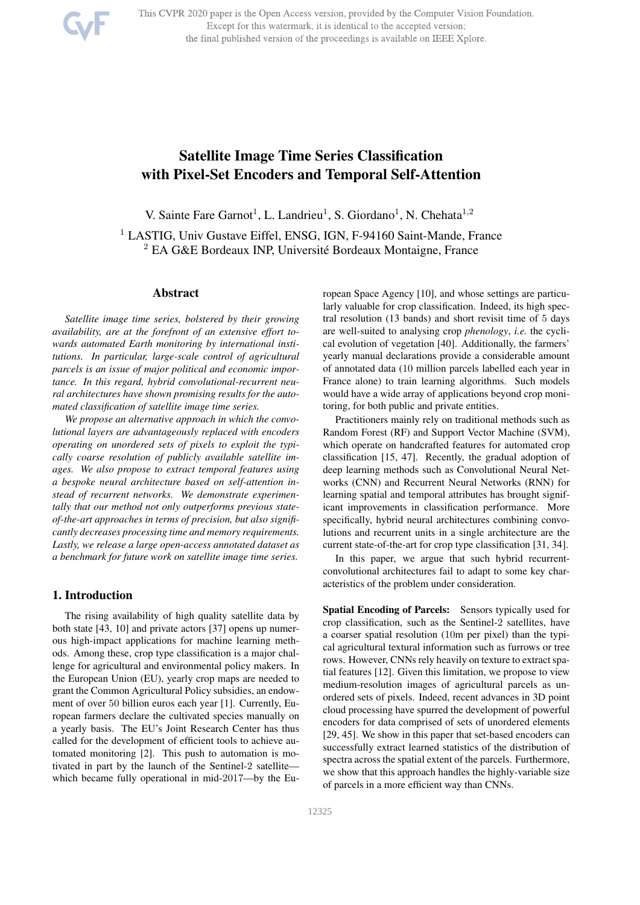

This CVPR 2020 paper is the Open Access version, provided by the Computer Vision Foundation. Except for this watermark, it is identical to the accepted version; the final published version of the proceedings is available on IEEE Xplore.

# Satellite Image Time Series Classification with Pixel-Set Encoders and Temporal Self-Attention

V. Sainte Fare Garnot<sup>1</sup>, L. Landrieu<sup>1</sup>, S. Giordano<sup>1</sup>, N. Chehata<sup>1,2</sup>

<sup>1</sup> LASTIG, Univ Gustave Eiffel, ENSG, IGN, F-94160 Saint-Mande, France  $2$  EA G&E Bordeaux INP, Université Bordeaux Montaigne, France

## Abstract

*Satellite image time series, bolstered by their growing availability, are at the forefront of an extensive effort towards automated Earth monitoring by international institutions. In particular, large-scale control of agricultural parcels is an issue of major political and economic importance. In this regard, hybrid convolutional-recurrent neural architectures have shown promising results for the automated classi*fi*cation of satellite image time series.*

*We propose an alternative approach in which the convolutional layers are advantageously replaced with encoders operating on unordered sets of pixels to exploit the typically coarse resolution of publicly available satellite images. We also propose to extract temporal features using a bespoke neural architecture based on self-attention instead of recurrent networks. We demonstrate experimentally that our method not only outperforms previous stateof-the-art approaches in terms of precision, but also signi*fi*cantly decreases processing time and memory requirements. Lastly, we release a large open-access annotated dataset as a benchmark for future work on satellite image time series.*

#### 1. Introduction

The rising availability of high quality satellite data by both state [43, 10] and private actors [37] opens up numerous high-impact applications for machine learning methods. Among these, crop type classification is a major challenge for agricultural and environmental policy makers. In the European Union (EU), yearly crop maps are needed to grant the Common Agricultural Policy subsidies, an endowment of over 50 billion euros each year [1]. Currently, European farmers declare the cultivated species manually on a yearly basis. The EU's Joint Research Center has thus called for the development of efficient tools to achieve automated monitoring [2]. This push to automation is motivated in part by the launch of the Sentinel-2 satellite which became fully operational in mid-2017—by the European Space Agency [10], and whose settings are particularly valuable for crop classification. Indeed, its high spectral resolution (13 bands) and short revisit time of 5 days are well-suited to analysing crop *phenology*, *i.e.* the cyclical evolution of vegetation [40]. Additionally, the farmers' yearly manual declarations provide a considerable amount of annotated data (10 million parcels labelled each year in France alone) to train learning algorithms. Such models would have a wide array of applications beyond crop monitoring, for both public and private entities.

Practitioners mainly rely on traditional methods such as Random Forest (RF) and Support Vector Machine (SVM), which operate on handcrafted features for automated crop classification [15, 47]. Recently, the gradual adoption of deep learning methods such as Convolutional Neural Networks (CNN) and Recurrent Neural Networks (RNN) for learning spatial and temporal attributes has brought significant improvements in classification performance. More specifically, hybrid neural architectures combining convolutions and recurrent units in a single architecture are the current state-of-the-art for crop type classification [31, 34].

In this paper, we argue that such hybrid recurrentconvolutional architectures fail to adapt to some key characteristics of the problem under consideration.

Spatial Encoding of Parcels: Sensors typically used for crop classification, such as the Sentinel-2 satellites, have a coarser spatial resolution (10m per pixel) than the typical agricultural textural information such as furrows or tree rows. However, CNNs rely heavily on texture to extract spatial features [12]. Given this limitation, we propose to view medium-resolution images of agricultural parcels as unordered sets of pixels. Indeed, recent advances in 3D point cloud processing have spurred the development of powerful encoders for data comprised of sets of unordered elements [29, 45]. We show in this paper that set-based encoders can successfully extract learned statistics of the distribution of spectra across the spatial extent of the parcels. Furthermore, we show that this approach handles the highly-variable size of parcels in a more efficient way than CNNs.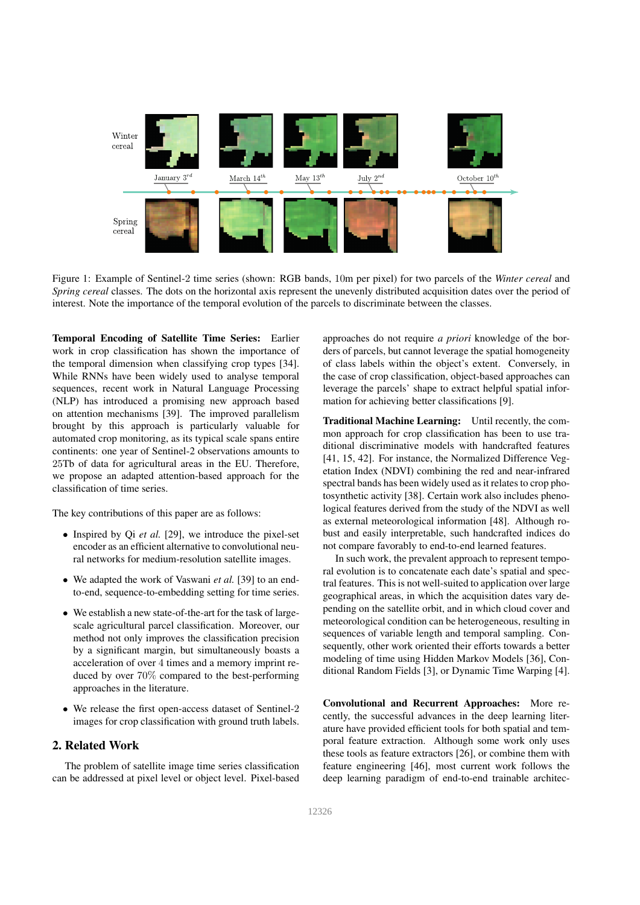

Figure 1: Example of Sentinel-2 time series (shown: RGB bands, 10m per pixel) for two parcels of the *Winter cereal* and *Spring cereal* classes. The dots on the horizontal axis represent the unevenly distributed acquisition dates over the period of interest. Note the importance of the temporal evolution of the parcels to discriminate between the classes.

Temporal Encoding of Satellite Time Series: Earlier work in crop classification has shown the importance of the temporal dimension when classifying crop types [34]. While RNNs have been widely used to analyse temporal sequences, recent work in Natural Language Processing (NLP) has introduced a promising new approach based on attention mechanisms [39]. The improved parallelism brought by this approach is particularly valuable for automated crop monitoring, as its typical scale spans entire continents: one year of Sentinel-2 observations amounts to 25Tb of data for agricultural areas in the EU. Therefore, we propose an adapted attention-based approach for the classification of time series.

The key contributions of this paper are as follows:

- Inspired by Qi *et al.* [29], we introduce the pixel-set encoder as an efficient alternative to convolutional neural networks for medium-resolution satellite images.
- We adapted the work of Vaswani *et al.* [39] to an endto-end, sequence-to-embedding setting for time series.
- We establish a new state-of-the-art for the task of largescale agricultural parcel classification. Moreover, our method not only improves the classification precision by a significant margin, but simultaneously boasts a acceleration of over 4 times and a memory imprint reduced by over 70% compared to the best-performing approaches in the literature.
- We release the first open-access dataset of Sentinel-2 images for crop classification with ground truth labels.

## 2. Related Work

The problem of satellite image time series classification can be addressed at pixel level or object level. Pixel-based approaches do not require *a priori* knowledge of the borders of parcels, but cannot leverage the spatial homogeneity of class labels within the object's extent. Conversely, in the case of crop classification, object-based approaches can leverage the parcels' shape to extract helpful spatial information for achieving better classifications [9].

Traditional Machine Learning: Until recently, the common approach for crop classification has been to use traditional discriminative models with handcrafted features [41, 15, 42]. For instance, the Normalized Difference Vegetation Index (NDVI) combining the red and near-infrared spectral bands has been widely used as it relates to crop photosynthetic activity [38]. Certain work also includes phenological features derived from the study of the NDVI as well as external meteorological information [48]. Although robust and easily interpretable, such handcrafted indices do not compare favorably to end-to-end learned features.

In such work, the prevalent approach to represent temporal evolution is to concatenate each date's spatial and spectral features. This is not well-suited to application over large geographical areas, in which the acquisition dates vary depending on the satellite orbit, and in which cloud cover and meteorological condition can be heterogeneous, resulting in sequences of variable length and temporal sampling. Consequently, other work oriented their efforts towards a better modeling of time using Hidden Markov Models [36], Conditional Random Fields [3], or Dynamic Time Warping [4].

Convolutional and Recurrent Approaches: More recently, the successful advances in the deep learning literature have provided efficient tools for both spatial and temporal feature extraction. Although some work only uses these tools as feature extractors [26], or combine them with feature engineering [46], most current work follows the deep learning paradigm of end-to-end trainable architec-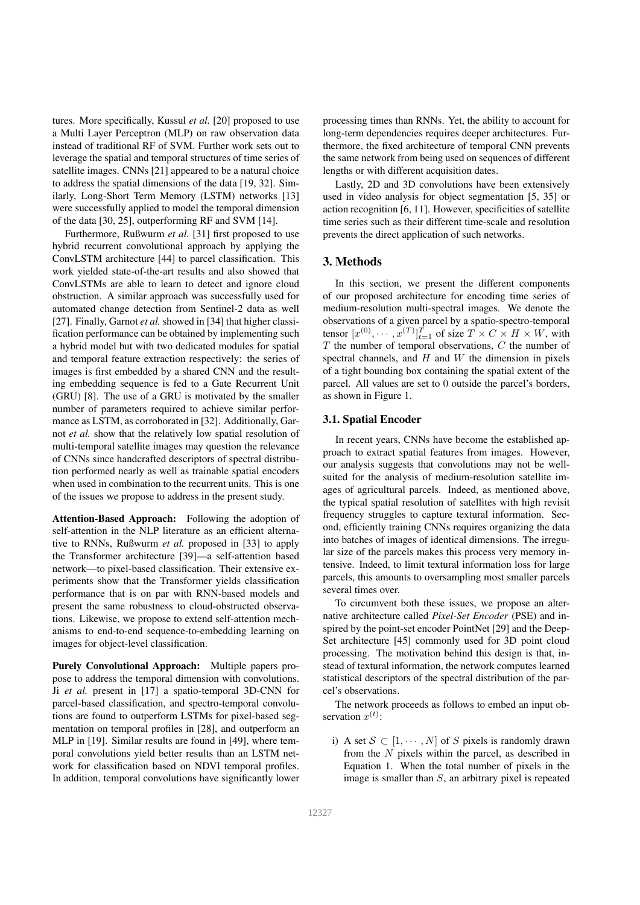tures. More specifically, Kussul *et al.* [20] proposed to use a Multi Layer Perceptron (MLP) on raw observation data instead of traditional RF of SVM. Further work sets out to leverage the spatial and temporal structures of time series of satellite images. CNNs [21] appeared to be a natural choice to address the spatial dimensions of the data [19, 32]. Similarly, Long-Short Term Memory (LSTM) networks [13] were successfully applied to model the temporal dimension of the data [30, 25], outperforming RF and SVM [14].

Furthermore, Rußwurm *et al.* [31] first proposed to use hybrid recurrent convolutional approach by applying the ConvLSTM architecture [44] to parcel classification. This work yielded state-of-the-art results and also showed that ConvLSTMs are able to learn to detect and ignore cloud obstruction. A similar approach was successfully used for automated change detection from Sentinel-2 data as well [27]. Finally, Garnot *et al.* showed in [34] that higher classification performance can be obtained by implementing such a hybrid model but with two dedicated modules for spatial and temporal feature extraction respectively: the series of images is first embedded by a shared CNN and the resulting embedding sequence is fed to a Gate Recurrent Unit (GRU) [8]. The use of a GRU is motivated by the smaller number of parameters required to achieve similar performance as LSTM, as corroborated in [32]. Additionally, Garnot *et al.* show that the relatively low spatial resolution of multi-temporal satellite images may question the relevance of CNNs since handcrafted descriptors of spectral distribution performed nearly as well as trainable spatial encoders when used in combination to the recurrent units. This is one of the issues we propose to address in the present study.

Attention-Based Approach: Following the adoption of self-attention in the NLP literature as an efficient alternative to RNNs, Rußwurm *et al.* proposed in [33] to apply the Transformer architecture [39]—a self-attention based network—to pixel-based classification. Their extensive experiments show that the Transformer yields classification performance that is on par with RNN-based models and present the same robustness to cloud-obstructed observations. Likewise, we propose to extend self-attention mechanisms to end-to-end sequence-to-embedding learning on images for object-level classification.

Purely Convolutional Approach: Multiple papers propose to address the temporal dimension with convolutions. Ji *et al.* present in [17] a spatio-temporal 3D-CNN for parcel-based classification, and spectro-temporal convolutions are found to outperform LSTMs for pixel-based segmentation on temporal profiles in [28], and outperform an MLP in [19]. Similar results are found in [49], where temporal convolutions yield better results than an LSTM network for classification based on NDVI temporal profiles. In addition, temporal convolutions have significantly lower processing times than RNNs. Yet, the ability to account for long-term dependencies requires deeper architectures. Furthermore, the fixed architecture of temporal CNN prevents the same network from being used on sequences of different lengths or with different acquisition dates.

Lastly, 2D and 3D convolutions have been extensively used in video analysis for object segmentation [5, 35] or action recognition [6, 11]. However, specificities of satellite time series such as their different time-scale and resolution prevents the direct application of such networks.

#### 3. Methods

In this section, we present the different components of our proposed architecture for encoding time series of medium-resolution multi-spectral images. We denote the observations of a given parcel by a spatio-spectro-temporal tensor  $[x^{(0)}, \cdots, x^{(T)}]_{t=1}^T$  of size  $T \times C \times H \times W$ , with  $T$  the number of temporal observations,  $C$  the number of spectral channels, and  $H$  and  $W$  the dimension in pixels of a tight bounding box containing the spatial extent of the parcel. All values are set to 0 outside the parcel's borders, as shown in Figure 1.

### 3.1. Spatial Encoder

In recent years, CNNs have become the established approach to extract spatial features from images. However, our analysis suggests that convolutions may not be wellsuited for the analysis of medium-resolution satellite images of agricultural parcels. Indeed, as mentioned above, the typical spatial resolution of satellites with high revisit frequency struggles to capture textural information. Second, efficiently training CNNs requires organizing the data into batches of images of identical dimensions. The irregular size of the parcels makes this process very memory intensive. Indeed, to limit textural information loss for large parcels, this amounts to oversampling most smaller parcels several times over.

To circumvent both these issues, we propose an alternative architecture called *Pixel-Set Encoder* (PSE) and inspired by the point-set encoder PointNet [29] and the Deep-Set architecture [45] commonly used for 3D point cloud processing. The motivation behind this design is that, instead of textural information, the network computes learned statistical descriptors of the spectral distribution of the parcel's observations.

The network proceeds as follows to embed an input observation  $x^{(t)}$ :

i) A set  $S \subset [1, \cdots, N]$  of S pixels is randomly drawn from the  $N$  pixels within the parcel, as described in Equation 1. When the total number of pixels in the image is smaller than S, an arbitrary pixel is repeated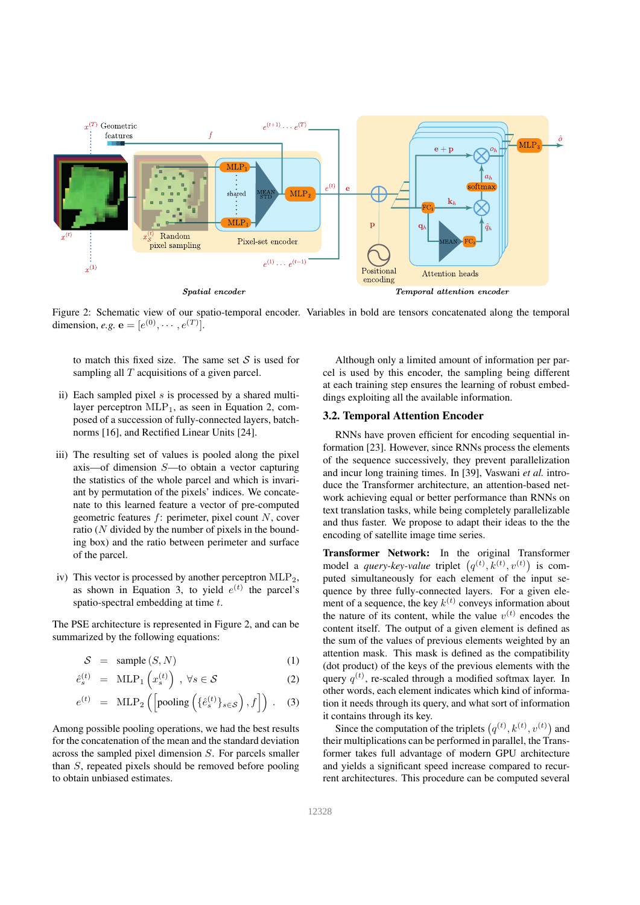

Figure 2: Schematic view of our spatio-temporal encoder. Variables in bold are tensors concatenated along the temporal dimension, *e.g.*  $e = [e^{(0)}, \cdots, e^{(T)}].$ 

to match this fixed size. The same set  $S$  is used for sampling all  $T$  acquisitions of a given parcel.

- ii) Each sampled pixel  $s$  is processed by a shared multilayer perceptron  $MLP_1$ , as seen in Equation 2, composed of a succession of fully-connected layers, batchnorms [16], and Rectified Linear Units [24].
- iii) The resulting set of values is pooled along the pixel axis—of dimension S—to obtain a vector capturing the statistics of the whole parcel and which is invariant by permutation of the pixels' indices. We concatenate to this learned feature a vector of pre-computed geometric features  $f$ : perimeter, pixel count  $N$ , cover ratio  $(N$  divided by the number of pixels in the bounding box) and the ratio between perimeter and surface of the parcel.
- iv) This vector is processed by another perceptron  $MLP_2$ , as shown in Equation 3, to yield  $e^{(t)}$  the parcel's spatio-spectral embedding at time t.

The PSE architecture is represented in Figure 2, and can be summarized by the following equations:

 $S = \text{sample}(S, N)$  (1)

$$
\hat{e}_s^{(t)} = \text{MLP}_1\left(x_s^{(t)}\right), \ \forall s \in \mathcal{S} \tag{2}
$$

$$
e^{(t)} = \text{MLP}_2\left(\left[\text{pooling}\left(\{\hat{e}_s^{(t)}\}_{s\in\mathcal{S}}\right), f\right]\right) . \quad (3)
$$

Among possible pooling operations, we had the best results for the concatenation of the mean and the standard deviation across the sampled pixel dimension S. For parcels smaller than S, repeated pixels should be removed before pooling to obtain unbiased estimates.

Although only a limited amount of information per parcel is used by this encoder, the sampling being different at each training step ensures the learning of robust embeddings exploiting all the available information.

## 3.2. Temporal Attention Encoder

RNNs have proven efficient for encoding sequential information [23]. However, since RNNs process the elements of the sequence successively, they prevent parallelization and incur long training times. In [39], Vaswani *et al.* introduce the Transformer architecture, an attention-based network achieving equal or better performance than RNNs on text translation tasks, while being completely parallelizable and thus faster. We propose to adapt their ideas to the the encoding of satellite image time series.

Transformer Network: In the original Transformer model a *query-key-value* triplet  $(q^{(t)}, k^{(t)}, v^{(t)})$  is computed simultaneously for each element of the input sequence by three fully-connected layers. For a given element of a sequence, the key  $k^{(t)}$  conveys information about the nature of its content, while the value  $v^{(t)}$  encodes the content itself. The output of a given element is defined as the sum of the values of previous elements weighted by an attention mask. This mask is defined as the compatibility (dot product) of the keys of the previous elements with the query  $q^{(t)}$ , re-scaled through a modified softmax layer. In other words, each element indicates which kind of information it needs through its query, and what sort of information it contains through its key.

Since the computation of the triplets  $(q^{(t)}, k^{(t)}, v^{(t)})$  and their multiplications can be performed in parallel, the Transformer takes full advantage of modern GPU architecture and yields a significant speed increase compared to recurrent architectures. This procedure can be computed several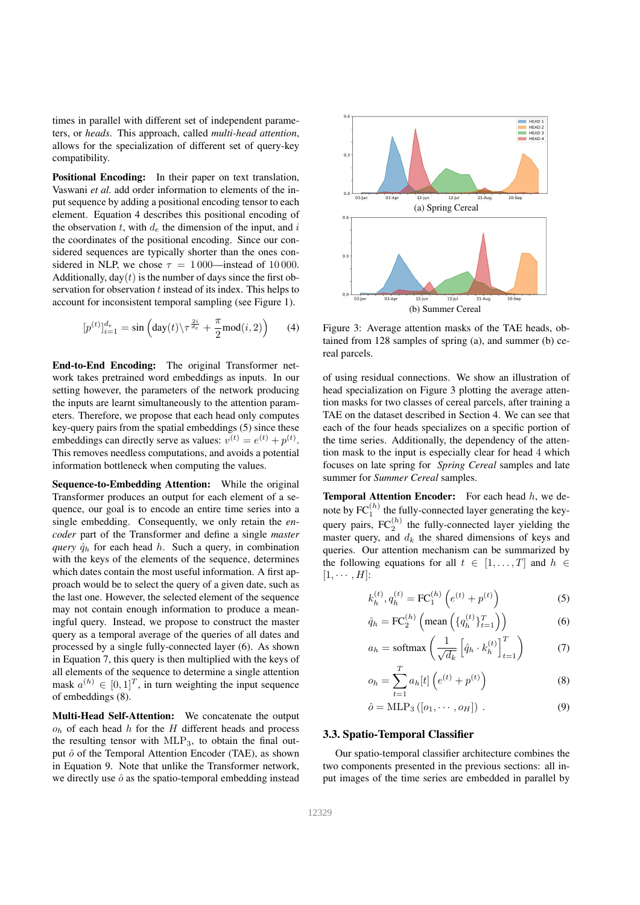times in parallel with different set of independent parameters, or *heads*. This approach, called *multi-head attention*, allows for the specialization of different set of query-key compatibility.

Positional Encoding: In their paper on text translation, Vaswani *et al.* add order information to elements of the input sequence by adding a positional encoding tensor to each element. Equation 4 describes this positional encoding of the observation  $t$ , with  $d_e$  the dimension of the input, and  $i$ the coordinates of the positional encoding. Since our considered sequences are typically shorter than the ones considered in NLP, we chose  $\tau = 1000$ —instead of 10000. Additionally,  $day(t)$  is the number of days since the first observation for observation t instead of its index. This helps to account for inconsistent temporal sampling (see Figure 1).

$$
[p^{(t)}]_{i=1}^{d_e} = \sin\left(\text{day}(t)\backslash \tau^{\frac{2i}{d_e}} + \frac{\pi}{2}\text{mod}(i,2)\right) \tag{4}
$$

End-to-End Encoding: The original Transformer network takes pretrained word embeddings as inputs. In our setting however, the parameters of the network producing the inputs are learnt simultaneously to the attention parameters. Therefore, we propose that each head only computes key-query pairs from the spatial embeddings (5) since these embeddings can directly serve as values:  $v^{(t)} = e^{(t)} + p^{(t)}$ . This removes needless computations, and avoids a potential information bottleneck when computing the values.

Sequence-to-Embedding Attention: While the original Transformer produces an output for each element of a sequence, our goal is to encode an entire time series into a single embedding. Consequently, we only retain the *encoder* part of the Transformer and define a single *master query*  $\hat{q}_h$  for each head h. Such a query, in combination with the keys of the elements of the sequence, determines which dates contain the most useful information. A first approach would be to select the query of a given date, such as the last one. However, the selected element of the sequence may not contain enough information to produce a meaningful query. Instead, we propose to construct the master query as a temporal average of the queries of all dates and processed by a single fully-connected layer (6). As shown in Equation 7, this query is then multiplied with the keys of all elements of the sequence to determine a single attention mask  $a^{(h)} \in [0, 1]^T$ , in turn weighting the input sequence of embeddings (8).

Multi-Head Self-Attention: We concatenate the output  $o<sub>h</sub>$  of each head h for the H different heads and process the resulting tensor with MLP<sub>3</sub>, to obtain the final output  $\hat{o}$  of the Temporal Attention Encoder (TAE), as shown in Equation 9. Note that unlike the Transformer network, we directly use  $\hat{o}$  as the spatio-temporal embedding instead



Figure 3: Average attention masks of the TAE heads, obtained from 128 samples of spring (a), and summer (b) cereal parcels.

of using residual connections. We show an illustration of head specialization on Figure 3 plotting the average attention masks for two classes of cereal parcels, after training a TAE on the dataset described in Section 4. We can see that each of the four heads specializes on a specific portion of the time series. Additionally, the dependency of the attention mask to the input is especially clear for head 4 which focuses on late spring for *Spring Cereal* samples and late summer for *Summer Cereal* samples.

**Temporal Attention Encoder:** For each head  $h$ , we denote by  $FC_1^{(h)}$  the fully-connected layer generating the keyquery pairs,  $FC_2^{(h)}$  the fully-connected layer yielding the master query, and  $d_k$  the shared dimensions of keys and queries. Our attention mechanism can be summarized by the following equations for all  $t \in [1, \ldots, T]$  and  $h \in$  $[1, \cdots, H]$ :

$$
k_h^{(t)}, q_h^{(t)} = \text{FC}_1^{(h)}\left(e^{(t)} + p^{(t)}\right) \tag{5}
$$

$$
\hat{q}_h = \text{FC}_2^{(h)}\left(\text{mean}\left(\{q_h^{(t)}\}_{t=1}^T\right)\right) \tag{6}
$$

$$
a_h = \text{softmax}\left(\frac{1}{\sqrt{d_k}} \left[\hat{q}_h \cdot k_h^{(t)}\right]_{t=1}^T\right) \tag{7}
$$

$$
o_h = \sum_{t=1}^{T} a_h[t] \left( e^{(t)} + p^{(t)} \right)
$$
 (8)

$$
\hat{o} = \text{MLP}_3([o_1, \cdots, o_H]) . \tag{9}
$$

#### 3.3. Spatio-Temporal Classifier

Our spatio-temporal classifier architecture combines the two components presented in the previous sections: all input images of the time series are embedded in parallel by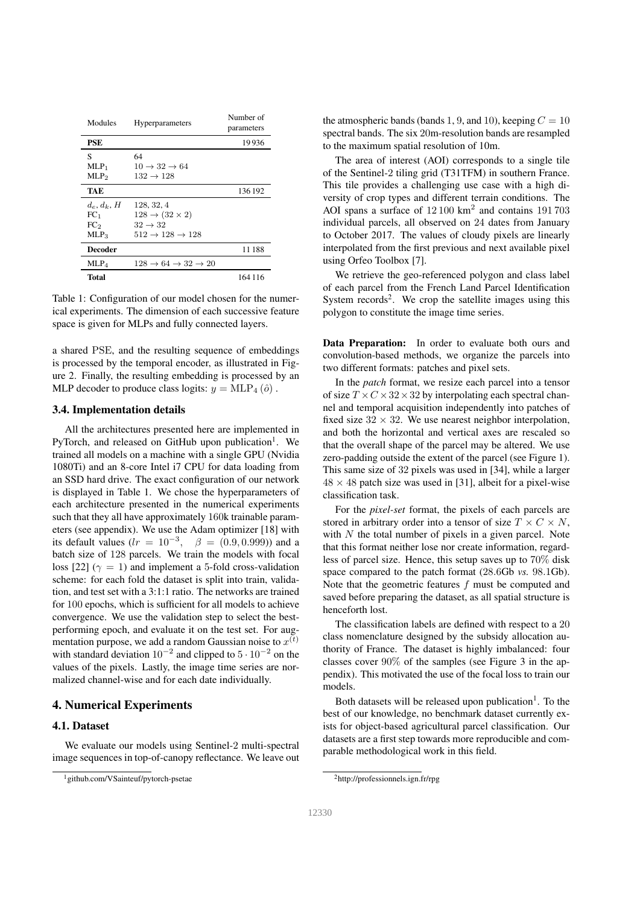| Modules          | <b>Hyperparameters</b>                             | Number of<br>parameters |
|------------------|----------------------------------------------------|-------------------------|
| <b>PSE</b>       |                                                    | 19936                   |
| S                | 64                                                 |                         |
| $MLP_1$          | $10 \rightarrow 32 \rightarrow 64$                 |                         |
| MLP <sub>2</sub> | $132 \rightarrow 128$                              |                         |
| TAE              |                                                    | 136 192                 |
| $d_e, d_k, H$    | 128, 32, 4                                         |                         |
| FC <sub>1</sub>  | $128 \rightarrow (32 \times 2)$                    |                         |
| FC <sub>2</sub>  | $32 \rightarrow 32$                                |                         |
| $MLP_3$          | $512 \rightarrow 128 \rightarrow 128$              |                         |
| Decoder          |                                                    | 11188                   |
| MLP <sub>4</sub> | $128 \rightarrow 64 \rightarrow 32 \rightarrow 20$ |                         |
| Total            |                                                    | 164 116                 |

Table 1: Configuration of our model chosen for the numerical experiments. The dimension of each successive feature space is given for MLPs and fully connected layers.

a shared PSE, and the resulting sequence of embeddings is processed by the temporal encoder, as illustrated in Figure 2. Finally, the resulting embedding is processed by an MLP decoder to produce class logits:  $y = MLP_4(\hat{o})$ .

#### 3.4. Implementation details

All the architectures presented here are implemented in PyTorch, and released on GitHub upon publication<sup>1</sup>. We trained all models on a machine with a single GPU (Nvidia 1080Ti) and an 8-core Intel i7 CPU for data loading from an SSD hard drive. The exact configuration of our network is displayed in Table 1. We chose the hyperparameters of each architecture presented in the numerical experiments such that they all have approximately 160k trainable parameters (see appendix). We use the Adam optimizer [18] with its default values ( $lr = 10^{-3}$ ,  $\beta = (0.9, 0.999)$ ) and a batch size of 128 parcels. We train the models with focal loss [22] ( $\gamma = 1$ ) and implement a 5-fold cross-validation scheme: for each fold the dataset is split into train, validation, and test set with a 3:1:1 ratio. The networks are trained for 100 epochs, which is sufficient for all models to achieve convergence. We use the validation step to select the bestperforming epoch, and evaluate it on the test set. For augmentation purpose, we add a random Gaussian noise to  $x^{(t)}$ with standard deviation  $10^{-2}$  and clipped to  $5 \cdot 10^{-2}$  on the values of the pixels. Lastly, the image time series are normalized channel-wise and for each date individually.

## 4. Numerical Experiments

## 4.1. Dataset

We evaluate our models using Sentinel-2 multi-spectral image sequences in top-of-canopy reflectance. We leave out the atmospheric bands (bands 1, 9, and 10), keeping  $C = 10$ spectral bands. The six 20m-resolution bands are resampled to the maximum spatial resolution of 10m.

The area of interest (AOI) corresponds to a single tile of the Sentinel-2 tiling grid (T31TFM) in southern France. This tile provides a challenging use case with a high diversity of crop types and different terrain conditions. The AOI spans a surface of 12 100 km<sup>2</sup> and contains 191 703 individual parcels, all observed on 24 dates from January to October 2017. The values of cloudy pixels are linearly interpolated from the first previous and next available pixel using Orfeo Toolbox [7].

We retrieve the geo-referenced polygon and class label of each parcel from the French Land Parcel Identification System records<sup>2</sup>. We crop the satellite images using this polygon to constitute the image time series.

Data Preparation: In order to evaluate both ours and convolution-based methods, we organize the parcels into two different formats: patches and pixel sets.

In the *patch* format, we resize each parcel into a tensor of size  $T \times C \times 32 \times 32$  by interpolating each spectral channel and temporal acquisition independently into patches of fixed size  $32 \times 32$ . We use nearest neighbor interpolation, and both the horizontal and vertical axes are rescaled so that the overall shape of the parcel may be altered. We use zero-padding outside the extent of the parcel (see Figure 1). This same size of 32 pixels was used in [34], while a larger  $48 \times 48$  patch size was used in [31], albeit for a pixel-wise classification task.

For the *pixel-set* format, the pixels of each parcels are stored in arbitrary order into a tensor of size  $T \times C \times N$ , with  $N$  the total number of pixels in a given parcel. Note that this format neither lose nor create information, regardless of parcel size. Hence, this setup saves up to 70% disk space compared to the patch format (28.6Gb *vs.* 98.1Gb). Note that the geometric features f must be computed and saved before preparing the dataset, as all spatial structure is henceforth lost.

The classification labels are defined with respect to a 20 class nomenclature designed by the subsidy allocation authority of France. The dataset is highly imbalanced: four classes cover 90% of the samples (see Figure 3 in the appendix). This motivated the use of the focal loss to train our models.

Both datasets will be released upon publication<sup>1</sup>. To the best of our knowledge, no benchmark dataset currently exists for object-based agricultural parcel classification. Our datasets are a first step towards more reproducible and comparable methodological work in this field.

<sup>1</sup>github.com/VSainteuf/pytorch-psetae

<sup>2</sup>http://professionnels.ign.fr/rpg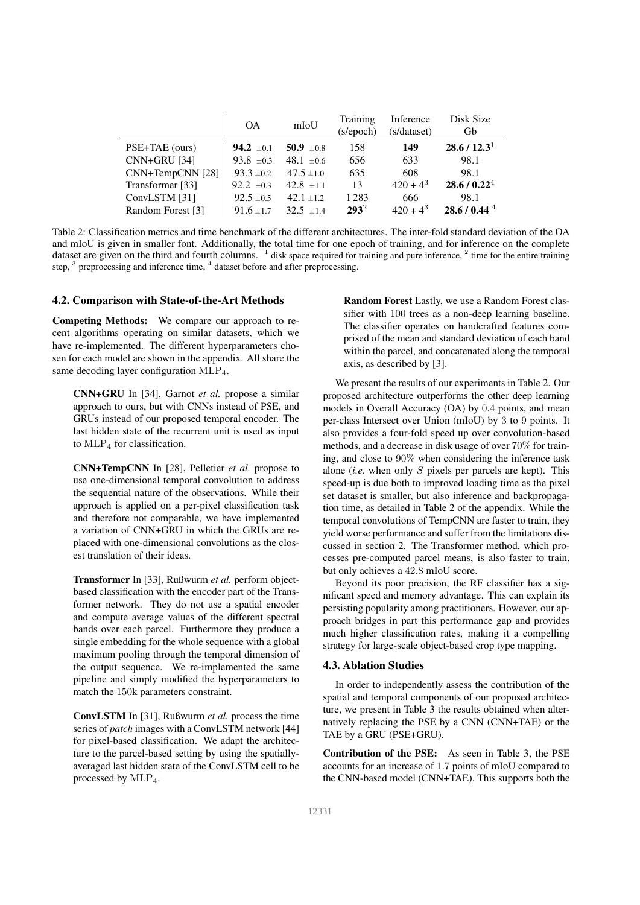|                     | <b>OA</b>             | mIoU           | Training<br>(s/epoch) | Inference<br>(s/dataset) | Disk Size<br>Gb            |
|---------------------|-----------------------|----------------|-----------------------|--------------------------|----------------------------|
| PSE+TAE (ours)      | <b>94.2</b> $\pm 0.1$ | 50.9 $\pm 0.8$ | 158                   | 149                      | 28.6 / 12.3 <sup>1</sup>   |
| <b>CNN+GRU [34]</b> | 93.8 $\pm 0.3$        | $48.1 \pm 0.6$ | 656                   | 633                      | 98.1                       |
| CNN+TempCNN [28]    | $93.3 \pm 0.2$        | $47.5 \pm 1.0$ | 635                   | 608                      | 98.1                       |
| Transformer [33]    | 92.2 $\pm 0.3$        | $42.8 \pm 1.1$ | 13                    | $420 + 4^3$              | 28.6 / 0.22 <sup>4</sup>   |
| ConvLSTM [31]       | $92.5 \pm 0.5$        | $42.1 \pm 1.2$ | 1283                  | 666                      | 98.1                       |
| Random Forest [3]   | $91.6 \pm 1.7$        | $32.5 \pm 1.4$ | $293^2$               | $420 + 4^3$              | $28.6 / 0.44$ <sup>4</sup> |

Table 2: Classification metrics and time benchmark of the different architectures. The inter-fold standard deviation of the OA and mIoU is given in smaller font. Additionally, the total time for one epoch of training, and for inference on the complete dataset are given on the third and fourth columns.  $\frac{1}{1}$  disk space required for training and pure inference,  $\frac{2}{1}$  time for the entire training step,  $3$  preprocessing and inference time,  $4$  dataset before and after preprocessing.

#### 4.2. Comparison with State-of-the-Art Methods

Competing Methods: We compare our approach to recent algorithms operating on similar datasets, which we have re-implemented. The different hyperparameters chosen for each model are shown in the appendix. All share the same decoding layer configuration MLP<sub>4</sub>.

CNN+GRU In [34], Garnot *et al.* propose a similar approach to ours, but with CNNs instead of PSE, and GRUs instead of our proposed temporal encoder. The last hidden state of the recurrent unit is used as input to  $MLP<sub>4</sub>$  for classification.

CNN+TempCNN In [28], Pelletier *et al.* propose to use one-dimensional temporal convolution to address the sequential nature of the observations. While their approach is applied on a per-pixel classification task and therefore not comparable, we have implemented a variation of CNN+GRU in which the GRUs are replaced with one-dimensional convolutions as the closest translation of their ideas.

Transformer In [33], Rußwurm *et al.* perform objectbased classification with the encoder part of the Transformer network. They do not use a spatial encoder and compute average values of the different spectral bands over each parcel. Furthermore they produce a single embedding for the whole sequence with a global maximum pooling through the temporal dimension of the output sequence. We re-implemented the same pipeline and simply modified the hyperparameters to match the 150k parameters constraint.

ConvLSTM In [31], Rußwurm *et al.* process the time series of *patch* images with a ConvLSTM network [44] for pixel-based classification. We adapt the architecture to the parcel-based setting by using the spatiallyaveraged last hidden state of the ConvLSTM cell to be processed by  $MLP_4$ .

Random Forest Lastly, we use a Random Forest classifier with 100 trees as a non-deep learning baseline. The classifier operates on handcrafted features comprised of the mean and standard deviation of each band within the parcel, and concatenated along the temporal axis, as described by [3].

We present the results of our experiments in Table 2. Our proposed architecture outperforms the other deep learning models in Overall Accuracy (OA) by 0.4 points, and mean per-class Intersect over Union (mIoU) by 3 to 9 points. It also provides a four-fold speed up over convolution-based methods, and a decrease in disk usage of over 70% for training, and close to 90% when considering the inference task alone (*i.e.* when only S pixels per parcels are kept). This speed-up is due both to improved loading time as the pixel set dataset is smaller, but also inference and backpropagation time, as detailed in Table 2 of the appendix. While the temporal convolutions of TempCNN are faster to train, they yield worse performance and suffer from the limitations discussed in section 2. The Transformer method, which processes pre-computed parcel means, is also faster to train, but only achieves a 42.8 mIoU score.

Beyond its poor precision, the RF classifier has a significant speed and memory advantage. This can explain its persisting popularity among practitioners. However, our approach bridges in part this performance gap and provides much higher classification rates, making it a compelling strategy for large-scale object-based crop type mapping.

#### 4.3. Ablation Studies

In order to independently assess the contribution of the spatial and temporal components of our proposed architecture, we present in Table 3 the results obtained when alternatively replacing the PSE by a CNN (CNN+TAE) or the TAE by a GRU (PSE+GRU).

Contribution of the PSE: As seen in Table 3, the PSE accounts for an increase of 1.7 points of mIoU compared to the CNN-based model (CNN+TAE). This supports both the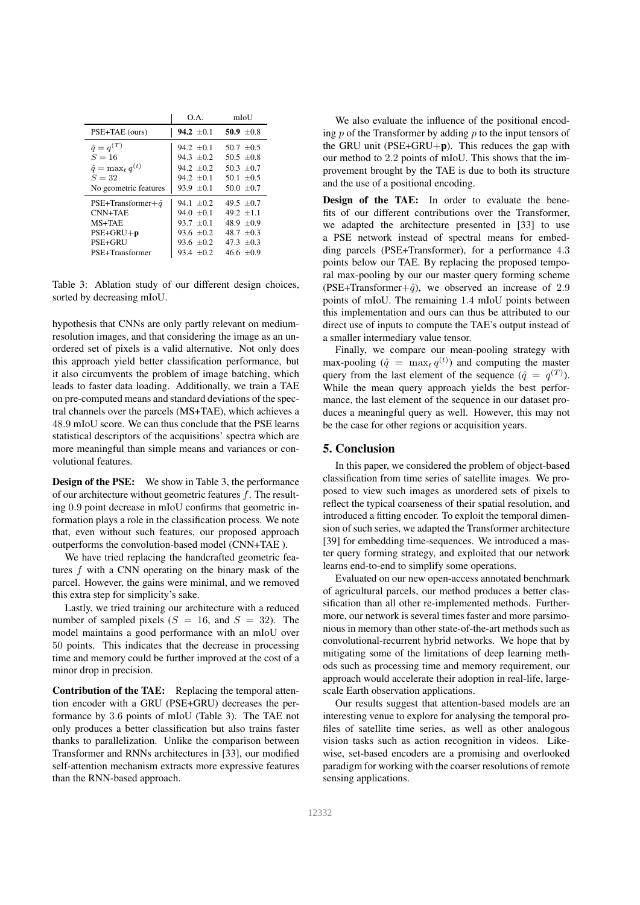|                            | O A            | mIoU           |  |
|----------------------------|----------------|----------------|--|
| PSE+TAE (ours)             | 94.2 $\pm$ 0.1 | 50.9 $\pm 0.8$ |  |
| $\hat{q} = q^{(T)}$        | 94.2 $\pm 0.1$ | $507 \pm 0.5$  |  |
| $S=16$                     | $94.3 \pm 0.2$ | $50.5 \pm 0.8$ |  |
| $\hat{q} = \max_t q^{(t)}$ | $94.2 \pm 0.2$ | $503 + 07$     |  |
| $S = 32$                   | $94.2 \pm 0.1$ | 50.1 $\pm 0.5$ |  |
| No geometric features      | 93.9 $\pm 0.1$ | 50.0 $\pm$ 0.7 |  |
| PSE+Transformer+ $\hat{q}$ | 94.1 $\pm 0.2$ | 49.5 $\pm 0.7$ |  |
| CNN+TAE                    | $94.0 \pm 0.1$ | 49.2 $\pm 1.1$ |  |
| $MS+TAE$                   | $93.7 \pm 0.1$ | 48.9 $\pm 0.9$ |  |
| $PSE+GRU+p$                | $93.6 \pm 0.2$ | 48.7 $\pm 0.3$ |  |
| PSE+GRU                    | $93.6 \pm 0.2$ | $47.3 \pm 0.3$ |  |
| PSE+Transformer            | 93.4 $\pm 0.2$ | 46.6 $\pm 0.9$ |  |

Table 3: Ablation study of our different design choices, sorted by decreasing mIoU.

hypothesis that CNNs are only partly relevant on mediumresolution images, and that considering the image as an unordered set of pixels is a valid alternative. Not only does this approach yield better classification performance, but it also circumvents the problem of image batching, which leads to faster data loading. Additionally, we train a TAE on pre-computed means and standard deviations of the spectral channels over the parcels (MS+TAE), which achieves a 48.9 mIoU score. We can thus conclude that the PSE learns statistical descriptors of the acquisitions' spectra which are more meaningful than simple means and variances or convolutional features.

**Design of the PSE:** We show in Table 3, the performance of our architecture without geometric features  $f$ . The resulting 0.9 point decrease in mIoU confirms that geometric information plays a role in the classification process. We note that, even without such features, our proposed approach outperforms the convolution-based model (CNN+TAE ).

We have tried replacing the handcrafted geometric features  $f$  with a CNN operating on the binary mask of the parcel. However, the gains were minimal, and we removed this extra step for simplicity's sake.

Lastly, we tried training our architecture with a reduced number of sampled pixels  $(S = 16)$ , and  $S = 32$ ). The model maintains a good performance with an mIoU over 50 points. This indicates that the decrease in processing time and memory could be further improved at the cost of a minor drop in precision.

Contribution of the TAE: Replacing the temporal attention encoder with a GRU (PSE+GRU) decreases the performance by 3.6 points of mIoU (Table 3). The TAE not only produces a better classification but also trains faster thanks to parallelization. Unlike the comparison between Transformer and RNNs architectures in [33], our modified self-attention mechanism extracts more expressive features than the RNN-based approach.

We also evaluate the influence of the positional encoding  $p$  of the Transformer by adding  $p$  to the input tensors of the GRU unit ( $PSE+GRU+p$ ). This reduces the gap with our method to 2.2 points of mIoU. This shows that the improvement brought by the TAE is due to both its structure and the use of a positional encoding.

Design of the TAE: In order to evaluate the benefits of our different contributions over the Transformer, we adapted the architecture presented in [33] to use a PSE network instead of spectral means for embedding parcels (PSE+Transformer), for a performance 4.3 points below our TAE. By replacing the proposed temporal max-pooling by our our master query forming scheme (PSE+Transformer+ $\hat{q}$ ), we observed an increase of 2.9 points of mIoU. The remaining 1.4 mIoU points between this implementation and ours can thus be attributed to our direct use of inputs to compute the TAE's output instead of a smaller intermediary value tensor.

Finally, we compare our mean-pooling strategy with max-pooling  $(\hat{q} = \max_t q^{(t)})$  and computing the master query from the last element of the sequence  $(\hat{q} = q^{(T)})$ . While the mean query approach yields the best performance, the last element of the sequence in our dataset produces a meaningful query as well. However, this may not be the case for other regions or acquisition years.

#### 5. Conclusion

In this paper, we considered the problem of object-based classification from time series of satellite images. We proposed to view such images as unordered sets of pixels to reflect the typical coarseness of their spatial resolution, and introduced a fitting encoder. To exploit the temporal dimension of such series, we adapted the Transformer architecture [39] for embedding time-sequences. We introduced a master query forming strategy, and exploited that our network learns end-to-end to simplify some operations.

Evaluated on our new open-access annotated benchmark of agricultural parcels, our method produces a better classification than all other re-implemented methods. Furthermore, our network is several times faster and more parsimonious in memory than other state-of-the-art methods such as convolutional-recurrent hybrid networks. We hope that by mitigating some of the limitations of deep learning methods such as processing time and memory requirement, our approach would accelerate their adoption in real-life, largescale Earth observation applications.

Our results suggest that attention-based models are an interesting venue to explore for analysing the temporal profiles of satellite time series, as well as other analogous vision tasks such as action recognition in videos. Likewise, set-based encoders are a promising and overlooked paradigm for working with the coarser resolutions of remote sensing applications.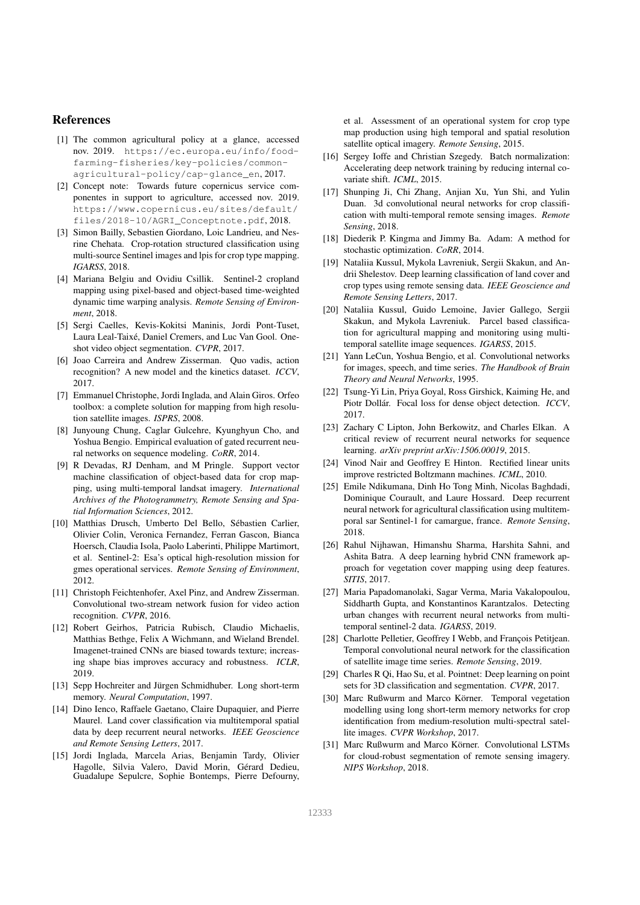#### References

- [1] The common agricultural policy at a glance, accessed nov. 2019. https://ec.europa.eu/info/foodfarming-fisheries/key-policies/commonagricultural-policy/cap-glance\_en, 2017.
- [2] Concept note: Towards future copernicus service componentes in support to agriculture, accessed nov. 2019. https://www.copernicus.eu/sites/default/ files/2018-10/AGRI\_Conceptnote.pdf, 2018.
- [3] Simon Bailly, Sebastien Giordano, Loic Landrieu, and Nesrine Chehata. Crop-rotation structured classification using multi-source Sentinel images and lpis for crop type mapping. *IGARSS*, 2018.
- [4] Mariana Belgiu and Ovidiu Csillik. Sentinel-2 cropland mapping using pixel-based and object-based time-weighted dynamic time warping analysis. *Remote Sensing of Environment*, 2018.
- [5] Sergi Caelles, Kevis-Kokitsi Maninis, Jordi Pont-Tuset, Laura Leal-Taixé, Daniel Cremers, and Luc Van Gool. Oneshot video object segmentation. *CVPR*, 2017.
- [6] Joao Carreira and Andrew Zisserman. Quo vadis, action recognition? A new model and the kinetics dataset. *ICCV*, 2017.
- [7] Emmanuel Christophe, Jordi Inglada, and Alain Giros. Orfeo toolbox: a complete solution for mapping from high resolution satellite images. *ISPRS*, 2008.
- [8] Junyoung Chung, Caglar Gulcehre, Kyunghyun Cho, and Yoshua Bengio. Empirical evaluation of gated recurrent neural networks on sequence modeling. *CoRR*, 2014.
- [9] R Devadas, RJ Denham, and M Pringle. Support vector machine classification of object-based data for crop mapping, using multi-temporal landsat imagery. *International Archives of the Photogrammetry, Remote Sensing and Spatial Information Sciences*, 2012.
- [10] Matthias Drusch, Umberto Del Bello, Sébastien Carlier, Olivier Colin, Veronica Fernandez, Ferran Gascon, Bianca Hoersch, Claudia Isola, Paolo Laberinti, Philippe Martimort, et al. Sentinel-2: Esa's optical high-resolution mission for gmes operational services. *Remote Sensing of Environment*, 2012.
- [11] Christoph Feichtenhofer, Axel Pinz, and Andrew Zisserman. Convolutional two-stream network fusion for video action recognition. *CVPR*, 2016.
- [12] Robert Geirhos, Patricia Rubisch, Claudio Michaelis, Matthias Bethge, Felix A Wichmann, and Wieland Brendel. Imagenet-trained CNNs are biased towards texture; increasing shape bias improves accuracy and robustness. *ICLR*, 2019.
- [13] Sepp Hochreiter and Jürgen Schmidhuber. Long short-term memory. *Neural Computation*, 1997.
- [14] Dino Ienco, Raffaele Gaetano, Claire Dupaquier, and Pierre Maurel. Land cover classification via multitemporal spatial data by deep recurrent neural networks. *IEEE Geoscience and Remote Sensing Letters*, 2017.
- [15] Jordi Inglada, Marcela Arias, Benjamin Tardy, Olivier Hagolle, Silvia Valero, David Morin, Gérard Dedieu, Guadalupe Sepulcre, Sophie Bontemps, Pierre Defourny,

et al. Assessment of an operational system for crop type map production using high temporal and spatial resolution satellite optical imagery. *Remote Sensing*, 2015.

- [16] Sergey Ioffe and Christian Szegedy. Batch normalization: Accelerating deep network training by reducing internal covariate shift. *ICML*, 2015.
- [17] Shunping Ji, Chi Zhang, Anjian Xu, Yun Shi, and Yulin Duan. 3d convolutional neural networks for crop classification with multi-temporal remote sensing images. *Remote Sensing*, 2018.
- [18] Diederik P. Kingma and Jimmy Ba. Adam: A method for stochastic optimization. *CoRR*, 2014.
- [19] Nataliia Kussul, Mykola Lavreniuk, Sergii Skakun, and Andrii Shelestov. Deep learning classification of land cover and crop types using remote sensing data. *IEEE Geoscience and Remote Sensing Letters*, 2017.
- [20] Nataliia Kussul, Guido Lemoine, Javier Gallego, Sergii Skakun, and Mykola Lavreniuk. Parcel based classification for agricultural mapping and monitoring using multitemporal satellite image sequences. *IGARSS*, 2015.
- [21] Yann LeCun, Yoshua Bengio, et al. Convolutional networks for images, speech, and time series. *The Handbook of Brain Theory and Neural Networks*, 1995.
- [22] Tsung-Yi Lin, Priya Goyal, Ross Girshick, Kaiming He, and Piotr Dollár. Focal loss for dense object detection. *ICCV*, 2017.
- [23] Zachary C Lipton, John Berkowitz, and Charles Elkan. A critical review of recurrent neural networks for sequence learning. *arXiv preprint arXiv:1506.00019*, 2015.
- [24] Vinod Nair and Geoffrey E Hinton. Rectified linear units improve restricted Boltzmann machines. *ICML*, 2010.
- [25] Emile Ndikumana, Dinh Ho Tong Minh, Nicolas Baghdadi, Dominique Courault, and Laure Hossard. Deep recurrent neural network for agricultural classification using multitemporal sar Sentinel-1 for camargue, france. *Remote Sensing*, 2018.
- [26] Rahul Nijhawan, Himanshu Sharma, Harshita Sahni, and Ashita Batra. A deep learning hybrid CNN framework approach for vegetation cover mapping using deep features. *SITIS*, 2017.
- [27] Maria Papadomanolaki, Sagar Verma, Maria Vakalopoulou, Siddharth Gupta, and Konstantinos Karantzalos. Detecting urban changes with recurrent neural networks from multitemporal sentinel-2 data. *IGARSS*, 2019.
- [28] Charlotte Pelletier, Geoffrey I Webb, and François Petitjean. Temporal convolutional neural network for the classification of satellite image time series. *Remote Sensing*, 2019.
- [29] Charles R Qi, Hao Su, et al. Pointnet: Deep learning on point sets for 3D classification and segmentation. *CVPR*, 2017.
- [30] Marc Rußwurm and Marco Körner. Temporal vegetation modelling using long short-term memory networks for crop identification from medium-resolution multi-spectral satellite images. *CVPR Workshop*, 2017.
- [31] Marc Rußwurm and Marco Körner. Convolutional LSTMs for cloud-robust segmentation of remote sensing imagery. *NIPS Workshop*, 2018.